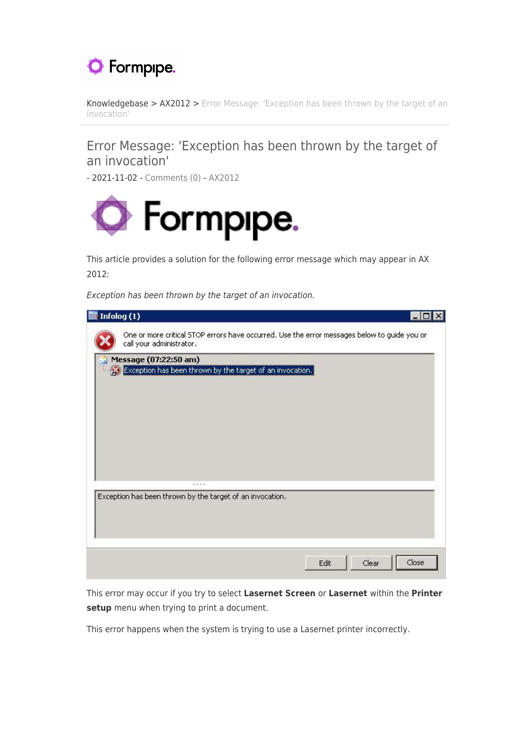

[Knowledgebase](https://support.formpipe.com/kb) > [AX2012](https://support.formpipe.com/kb/ax2012) > [Error Message: 'Exception has been thrown by the target of an](https://support.formpipe.com/kb/articles/error-message-exception-has-been-thrown-by-the-target-of-an-invocation) [invocation'](https://support.formpipe.com/kb/articles/error-message-exception-has-been-thrown-by-the-target-of-an-invocation)

## Error Message: 'Exception has been thrown by the target of an invocation'

- 2021-11-02 - [Comments \(0\)](#page--1-0) - [AX2012](https://support.formpipe.com/kb/ax2012)



This article provides a solution for the following error message which may appear in AX 2012:

Exception has been thrown by the target of an invocation.

| Infolog (1)                                                                           |                                                                                              |  |
|---------------------------------------------------------------------------------------|----------------------------------------------------------------------------------------------|--|
| call your administrator.                                                              | One or more critical STOP errors have occurred. Use the error messages below to guide you or |  |
| Message (07:22:50 am)<br>So Exception has been thrown by the target of an invocation. |                                                                                              |  |
|                                                                                       |                                                                                              |  |
|                                                                                       |                                                                                              |  |
|                                                                                       |                                                                                              |  |
|                                                                                       |                                                                                              |  |
| 100,000<br>Exception has been thrown by the target of an invocation.                  |                                                                                              |  |
|                                                                                       |                                                                                              |  |
|                                                                                       |                                                                                              |  |
|                                                                                       |                                                                                              |  |
|                                                                                       |                                                                                              |  |
|                                                                                       | Clear<br>Close<br>Edit                                                                       |  |

This error may occur if you try to select **Lasernet Screen** or **Lasernet** within the **Printer setup** menu when trying to print a document.

This error happens when the system is trying to use a Lasernet printer incorrectly.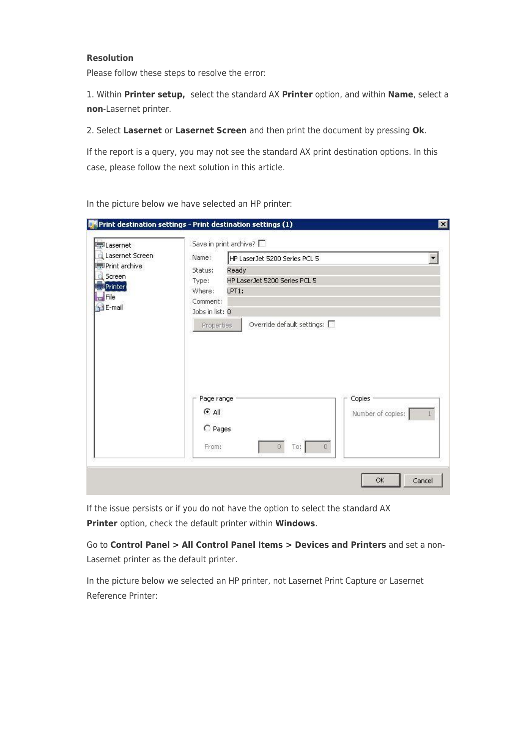## **Resolution**

Please follow these steps to resolve the error:

1. Within **Printer setup,** select the standard AX **Printer** option, and within **Name**, select a **non**-Lasernet printer.

2. Select **Lasernet** or **Lasernet Screen** and then print the document by pressing **Ok**.

If the report is a query, you may not see the standard AX print destination options. In this case, please follow the next solution in this article.

| Lasernet                                                                | Save in print archive?                                                                                                                                                                             |  |
|-------------------------------------------------------------------------|----------------------------------------------------------------------------------------------------------------------------------------------------------------------------------------------------|--|
| Lasernet Screen<br>Print archive<br>Screen<br>Printer<br>File<br>E-mail | Name:<br>HP LaserJet 5200 Series PCL 5<br>Ready<br>Status:<br>HP LaserJet 5200 Series PCL 5<br>Type:<br>Where:<br>LPT1:<br>Comment:<br>Jobs in list: 0<br>Override default settings:<br>Properties |  |
|                                                                         |                                                                                                                                                                                                    |  |
|                                                                         | Copies<br>Page range<br>⊙ All<br>Number of copies:<br>C Pages                                                                                                                                      |  |

In the picture below we have selected an HP printer:

If the issue persists or if you do not have the option to select the standard AX **Printer** option, check the default printer within **Windows**.

Go to **Control Panel > All Control Panel Items > Devices and Printers** and set a non-Lasernet printer as the default printer.

In the picture below we selected an HP printer, not Lasernet Print Capture or Lasernet Reference Printer: